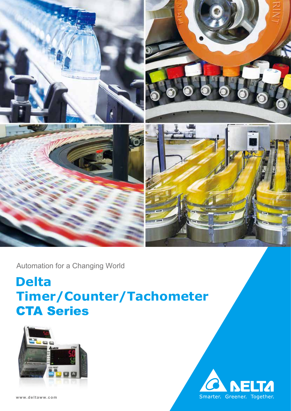

Automation for a Changing World

# **Delta Timer/Counter/Tachometer** CTA Series



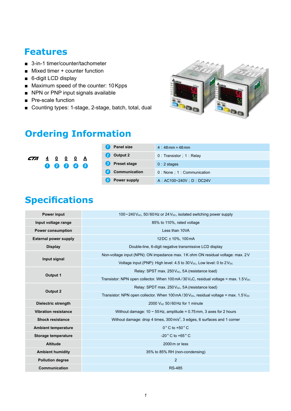## **Features**

- 3-in-1 timer/counter/tachometer
- Mixed timer + counter function
- 6-digit LCD display
- Maximum speed of the counter: 10 Kpps
- NPN or PNP input signals available
- Pre-scale function
- Counting types: 1-stage, 2-stage, batch, total, dual



# **Ordering Information**

| $CTA$ $\underline{4}$ $\underline{0}$ $\underline{0}$ $\underline{0}$ $\underline{0}$ $\underline{A}$ |  |  | 0 2 3 4 5 |  | $\left( 1\right)$ | <b>Panel size</b>    | $4:48 \,\mathrm{mm} \times 48 \,\mathrm{mm}$ |
|-------------------------------------------------------------------------------------------------------|--|--|-----------|--|-------------------|----------------------|----------------------------------------------|
|                                                                                                       |  |  |           |  |                   | Output 2             | 0 : Transistor ; 1 : Relay                   |
|                                                                                                       |  |  |           |  |                   | <b>Preset stage</b>  | $0:2$ stages                                 |
|                                                                                                       |  |  |           |  | $\left( 4\right)$ | <b>Communication</b> | 0 : None ; 1 : Communication                 |
|                                                                                                       |  |  |           |  | 5                 | <b>Power supply</b>  | A: AC100~240V; D: DC24V                      |

# **Specifications**

| Power input                  | $100 \sim 240$ V <sub>AC</sub> , 50/60 Hz or 24 V <sub>DC</sub> , isolated switching power supply |  |  |  |  |  |  |
|------------------------------|---------------------------------------------------------------------------------------------------|--|--|--|--|--|--|
| Input voltage range          | 85% to 110%, rated voltage                                                                        |  |  |  |  |  |  |
| <b>Power consumption</b>     | Less than 10VA                                                                                    |  |  |  |  |  |  |
| <b>External power supply</b> | 12DC ± 10%, 100mA                                                                                 |  |  |  |  |  |  |
| <b>Display</b>               | Double-line, 6-digit negative transmissive LCD display                                            |  |  |  |  |  |  |
|                              | Non-voltage input (NPN): ON impedance max. 1K ohm ON residual voltage: max. 2V                    |  |  |  |  |  |  |
| Input signal                 | Voltage input (PNP): High level: 4.5 to $30V_{DC}$ , Low level: 0 to $2V_{DC}$                    |  |  |  |  |  |  |
|                              | Relay: SPST max. 250 V <sub>AC</sub> , 5A (resistance load)                                       |  |  |  |  |  |  |
| Output 1                     | Transistor: NPN open collector. When 100 mA / 30 $VDC$ , residual voltage = max. 1.5 $VDC$        |  |  |  |  |  |  |
|                              | Relay: SPDT max. 250 V <sub>AC</sub> , 5A (resistance load)                                       |  |  |  |  |  |  |
| Output 2                     | Transistor: NPN open collector. When 100 mA / 30 $V_{DC}$ , residual voltage = max. 1.5 $V_{DC}$  |  |  |  |  |  |  |
| <b>Dielectric strength</b>   | 2000 V <sub>AC</sub> 50/60 Hz for 1 minute                                                        |  |  |  |  |  |  |
| <b>Vibration resistance</b>  | Without damage: $10 \sim 55$ Hz, amplitude = 0.75 mm, 3 axes for 2 hours                          |  |  |  |  |  |  |
| <b>Shock resistance</b>      | Without damage: drop 4 times, 300 m/s <sup>2</sup> , 3 edges, 6 surfaces and 1 corner             |  |  |  |  |  |  |
| <b>Ambient temperature</b>   | $0^{\circ}$ C to +50 $^{\circ}$ C                                                                 |  |  |  |  |  |  |
| Storage temperature          | -20 $^{\circ}$ C to +65 $^{\circ}$ C                                                              |  |  |  |  |  |  |
| <b>Altitude</b>              | 2000 m or less                                                                                    |  |  |  |  |  |  |
| <b>Ambient humidity</b>      | 35% to 85% RH (non-condensing)                                                                    |  |  |  |  |  |  |
| <b>Pollution degree</b>      | $\overline{2}$                                                                                    |  |  |  |  |  |  |
| Communication                | <b>RS-485</b>                                                                                     |  |  |  |  |  |  |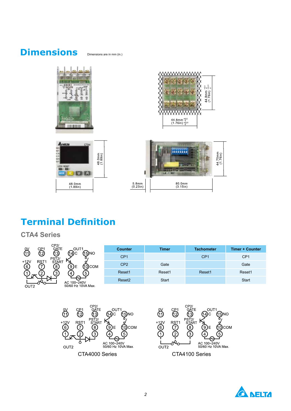# **Dimensions** Dimensions are in mm (in.)









# **Terminal Definition**

**CTA4 Series**

| CP2/<br><b>GATE</b><br>0٧<br>CR1<br>OUT1                                               | <b>Counter</b>     | <b>Timer</b> | <b>Tachometer</b> | <b>Timer + Counter</b> |
|----------------------------------------------------------------------------------------|--------------------|--------------|-------------------|------------------------|
| 13)<br>$45)$ NO<br>12<br>14)<br>PST <sub>2</sub> /                                     | CP <sub>1</sub>    |              | CP <sub>1</sub>   | CP <sub>1</sub>        |
| RST <sub>1</sub><br>$+12V$<br><b>START</b><br>$\odot$<br>$\odot$<br>.9)E<br>$(10)$ COM | CP <sub>2</sub>    | Gate         |                   | Gate                   |
| 5<br>4                                                                                 | Reset1             | Reset1       | Reset1            | Reset1                 |
| AC 100~240V                                                                            | Reset <sub>2</sub> | <b>Start</b> |                   | <b>Start</b>           |
| 50/60 Hz 10VA Max.<br>OUT <sub>2</sub>                                                 |                    |              |                   |                        |